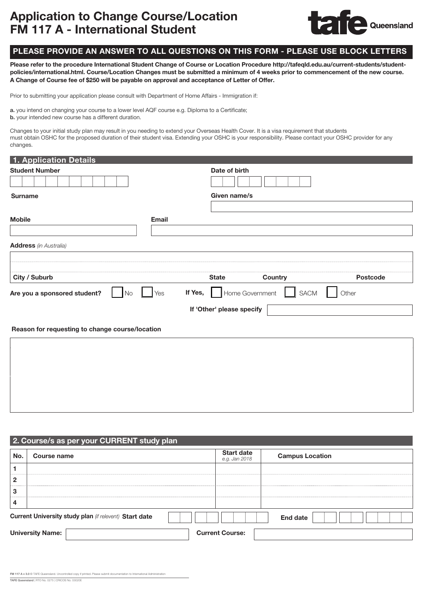# Application to Change Course/Location FM 117 A - International Student



# PLEASE PROVIDE AN ANSWER TO ALL QUESTIONS ON THIS FORM - PLEASE USE BLOCK LETTERS

Please refer to the procedure International Student Change of Course or Location Procedure [http://tafeqld.edu.au/current-students/student](http://tafeqld.edu.au/current-students/student-policies/international.html)[policies/international.html.](http://tafeqld.edu.au/current-students/student-policies/international.html) Course/Location Changes must be submitted a minimum of 4 weeks prior to commencement of the new course. A Change of Course fee of \$250 will be payable on approval and acceptance of Letter of Offer.

Prior to submitting your application please consult with Department of Home Affairs - Immigration if:

a. you intend on changing your course to a lower level AQF course e.g. Diploma to a Certificate;

b. your intended new course has a different duration.

Changes to your initial study plan may result in you needing to extend your Overseas Health Cover. It is a visa requirement that students must obtain OSHC for the proposed duration of their student visa. Extending your OSHC is your responsibility. Please contact your OSHC provider for any changes.

| 1. Application Details                          |                 |                            |         |          |
|-------------------------------------------------|-----------------|----------------------------|---------|----------|
| <b>Student Number</b>                           |                 | Date of birth              |         |          |
|                                                 |                 |                            |         |          |
| <b>Surname</b>                                  |                 | Given name/s               |         |          |
|                                                 |                 |                            |         |          |
| <b>Mobile</b>                                   | <b>Email</b>    |                            |         |          |
|                                                 |                 |                            |         |          |
| <b>Address</b> (in Australia)                   |                 |                            |         |          |
|                                                 |                 |                            |         |          |
| City / Suburb                                   |                 | <b>State</b>               | Country | Postcode |
| Are you a sponsored student?                    | $\rm No$<br>Yes | If Yes,<br>Home Government | SACM    | Other    |
|                                                 |                 | If 'Other' please specify  |         |          |
| Reason for requesting to change course/location |                 |                            |         |          |
|                                                 |                 |                            |         |          |
|                                                 |                 |                            |         |          |
|                                                 |                 |                            |         |          |
|                                                 |                 |                            |         |          |
|                                                 |                 |                            |         |          |
|                                                 |                 |                            |         |          |

|                | 2. Course/s as per your CURRENT study plan             |                                    |                        |
|----------------|--------------------------------------------------------|------------------------------------|------------------------|
| No.            | Course name                                            | <b>Start date</b><br>e.g. Jan 2018 | <b>Campus Location</b> |
|                |                                                        |                                    |                        |
| $\overline{2}$ |                                                        |                                    |                        |
| 3              |                                                        |                                    |                        |
| 4              |                                                        |                                    |                        |
|                | Current University study plan (if relevent) Start date |                                    | End date               |
|                | <b>University Name:</b>                                | <b>Current Course:</b>             |                        |